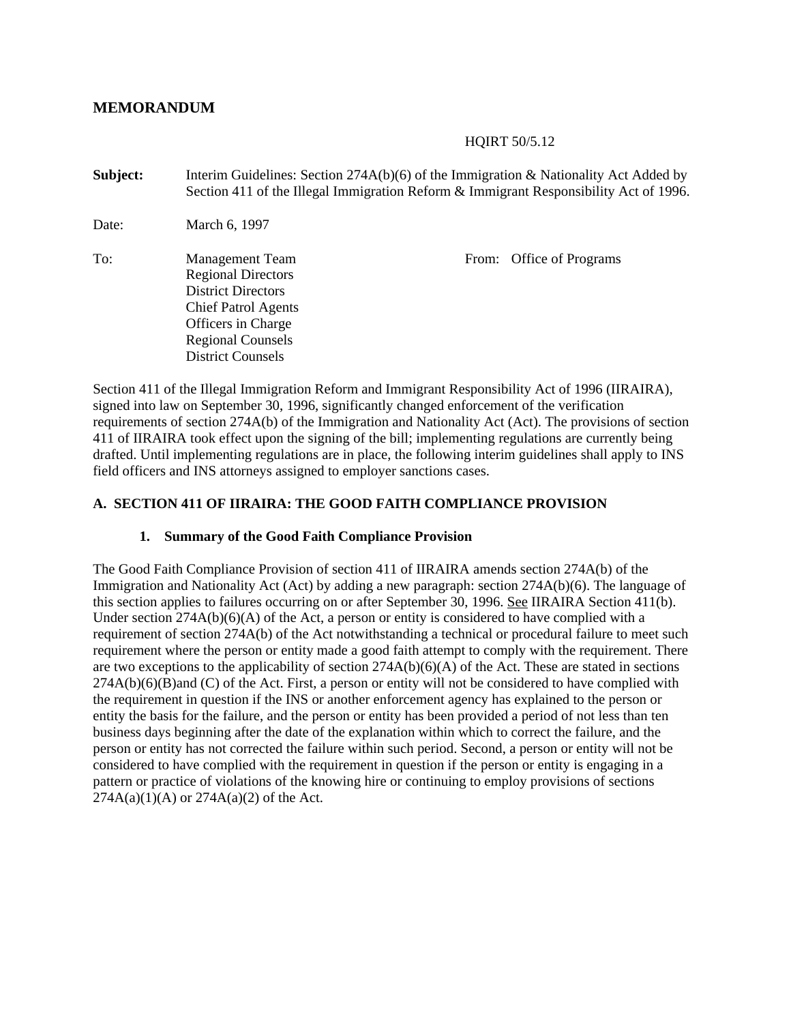## **MEMORANDUM**

#### HQIRT 50/5.12

| Subject: | Interim Guidelines: Section 274A(b)(6) of the Immigration & Nationality Act Added by<br>Section 411 of the Illegal Immigration Reform & Immigrant Responsibility Act of 1996.                |                          |  |  |
|----------|----------------------------------------------------------------------------------------------------------------------------------------------------------------------------------------------|--------------------------|--|--|
| Date:    | March 6, 1997                                                                                                                                                                                |                          |  |  |
| To:      | <b>Management Team</b><br><b>Regional Directors</b><br><b>District Directors</b><br><b>Chief Patrol Agents</b><br>Officers in Charge<br><b>Regional Counsels</b><br><b>District Counsels</b> | From: Office of Programs |  |  |

Section 411 of the Illegal Immigration Reform and Immigrant Responsibility Act of 1996 (IIRAIRA), signed into law on September 30, 1996, significantly changed enforcement of the verification requirements of section 274A(b) of the Immigration and Nationality Act (Act). The provisions of section 411 of IIRAIRA took effect upon the signing of the bill; implementing regulations are currently being drafted. Until implementing regulations are in place, the following interim guidelines shall apply to INS field officers and INS attorneys assigned to employer sanctions cases.

#### **A. SECTION 411 OF IIRAIRA: THE GOOD FAITH COMPLIANCE PROVISION**

#### **1. Summary of the Good Faith Compliance Provision**

The Good Faith Compliance Provision of section 411 of IIRAIRA amends section 274A(b) of the Immigration and Nationality Act (Act) by adding a new paragraph: section 274A(b)(6). The language of this section applies to failures occurring on or after September 30, 1996. See IIRAIRA Section 411(b). Under section 274A(b)(6)(A) of the Act, a person or entity is considered to have complied with a requirement of section 274A(b) of the Act notwithstanding a technical or procedural failure to meet such requirement where the person or entity made a good faith attempt to comply with the requirement. There are two exceptions to the applicability of section  $274A(b)(6)(A)$  of the Act. These are stated in sections  $274A(b)(6)(B)$ and (C) of the Act. First, a person or entity will not be considered to have complied with the requirement in question if the INS or another enforcement agency has explained to the person or entity the basis for the failure, and the person or entity has been provided a period of not less than ten business days beginning after the date of the explanation within which to correct the failure, and the person or entity has not corrected the failure within such period. Second, a person or entity will not be considered to have complied with the requirement in question if the person or entity is engaging in a pattern or practice of violations of the knowing hire or continuing to employ provisions of sections  $274A(a)(1)(A)$  or  $274A(a)(2)$  of the Act.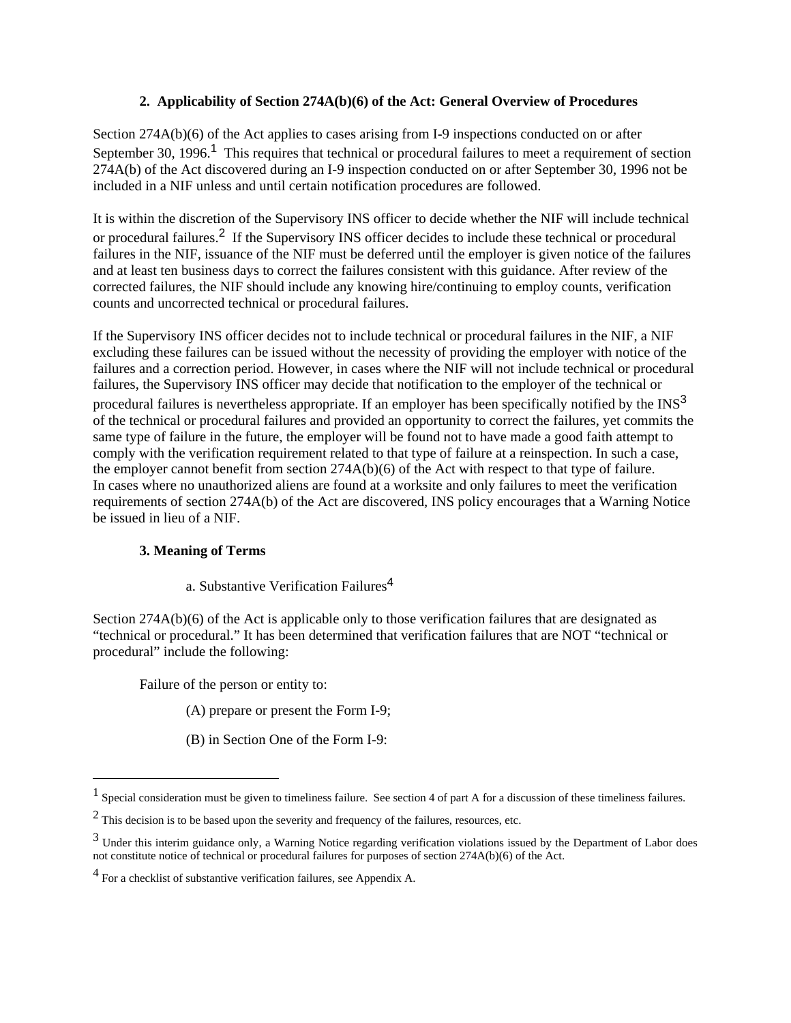## **2. Applicability of Section 274A(b)(6) of the Act: General Overview of Procedures**

Section 274A(b)(6) of the Act applies to cases arising from I-9 inspections conducted on or after September 30, 1996.<sup>1</sup> This requires that technical or procedural failures to meet a requirement of section 274A(b) of the Act discovered during an I-9 inspection conducted on or after September 30, 1996 not be included in a NIF unless and until certain notification procedures are followed.

It is within the discretion of the Supervisory INS officer to decide whether the NIF will include technical or procedural failures.2 If the Supervisory INS officer decides to include these technical or procedural failures in the NIF, issuance of the NIF must be deferred until the employer is given notice of the failures and at least ten business days to correct the failures consistent with this guidance. After review of the corrected failures, the NIF should include any knowing hire/continuing to employ counts, verification counts and uncorrected technical or procedural failures.

If the Supervisory INS officer decides not to include technical or procedural failures in the NIF, a NIF excluding these failures can be issued without the necessity of providing the employer with notice of the failures and a correction period. However, in cases where the NIF will not include technical or procedural failures, the Supervisory INS officer may decide that notification to the employer of the technical or procedural failures is nevertheless appropriate. If an employer has been specifically notified by the INS<sup>3</sup> of the technical or procedural failures and provided an opportunity to correct the failures, yet commits the same type of failure in the future, the employer will be found not to have made a good faith attempt to comply with the verification requirement related to that type of failure at a reinspection. In such a case, the employer cannot benefit from section 274A(b)(6) of the Act with respect to that type of failure. In cases where no unauthorized aliens are found at a worksite and only failures to meet the verification requirements of section 274A(b) of the Act are discovered, INS policy encourages that a Warning Notice be issued in lieu of a NIF.

## **3. Meaning of Terms**

 $\overline{a}$ 

a. Substantive Verification Failures<sup>4</sup>

Section 274A(b)(6) of the Act is applicable only to those verification failures that are designated as "technical or procedural." It has been determined that verification failures that are NOT "technical or procedural" include the following:

Failure of the person or entity to:

(A) prepare or present the Form I-9;

(B) in Section One of the Form I-9:

 $<sup>1</sup>$  Special consideration must be given to timeliness failure. See section 4 of part A for a discussion of these timeliness failures.</sup>

 $2$  This decision is to be based upon the severity and frequency of the failures, resources, etc.

<sup>&</sup>lt;sup>3</sup> Under this interim guidance only, a Warning Notice regarding verification violations issued by the Department of Labor does not constitute notice of technical or procedural failures for purposes of section 274A(b)(6) of the Act.

<sup>4</sup> For a checklist of substantive verification failures, see Appendix A.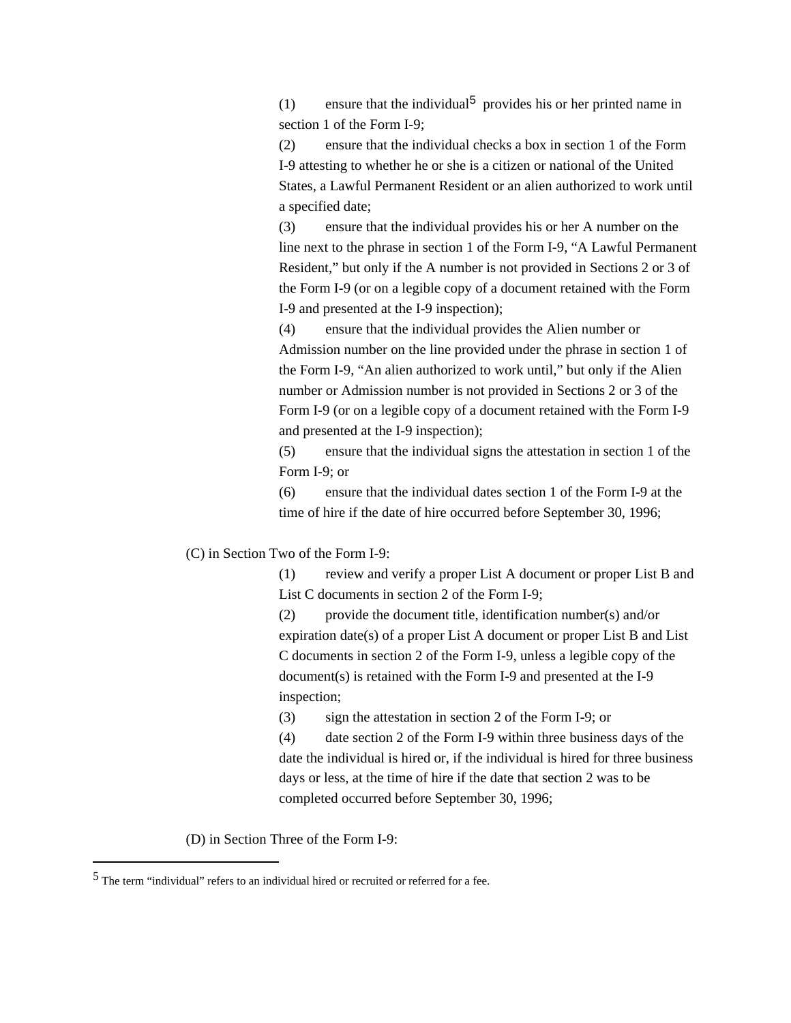(1) ensure that the individual<sup>5</sup> provides his or her printed name in section 1 of the Form I-9;

(2) ensure that the individual checks a box in section 1 of the Form I-9 attesting to whether he or she is a citizen or national of the United States, a Lawful Permanent Resident or an alien authorized to work until a specified date;

(3) ensure that the individual provides his or her A number on the line next to the phrase in section 1 of the Form I-9, "A Lawful Permanent Resident," but only if the A number is not provided in Sections 2 or 3 of the Form I-9 (or on a legible copy of a document retained with the Form I-9 and presented at the I-9 inspection);

(4) ensure that the individual provides the Alien number or Admission number on the line provided under the phrase in section 1 of the Form I-9, "An alien authorized to work until," but only if the Alien number or Admission number is not provided in Sections 2 or 3 of the Form I-9 (or on a legible copy of a document retained with the Form I-9 and presented at the I-9 inspection);

(5) ensure that the individual signs the attestation in section 1 of the Form I-9; or

(6) ensure that the individual dates section 1 of the Form I-9 at the time of hire if the date of hire occurred before September 30, 1996;

(C) in Section Two of the Form I-9:

(1) review and verify a proper List A document or proper List B and List C documents in section 2 of the Form I-9;

(2) provide the document title, identification number(s) and/or expiration date(s) of a proper List A document or proper List B and List C documents in section 2 of the Form I-9, unless a legible copy of the document(s) is retained with the Form I-9 and presented at the I-9 inspection;

(3) sign the attestation in section 2 of the Form I-9; or

(4) date section 2 of the Form I-9 within three business days of the date the individual is hired or, if the individual is hired for three business days or less, at the time of hire if the date that section 2 was to be completed occurred before September 30, 1996;

(D) in Section Three of the Form I-9:

 $\overline{a}$ 

<sup>5</sup> The term "individual" refers to an individual hired or recruited or referred for a fee.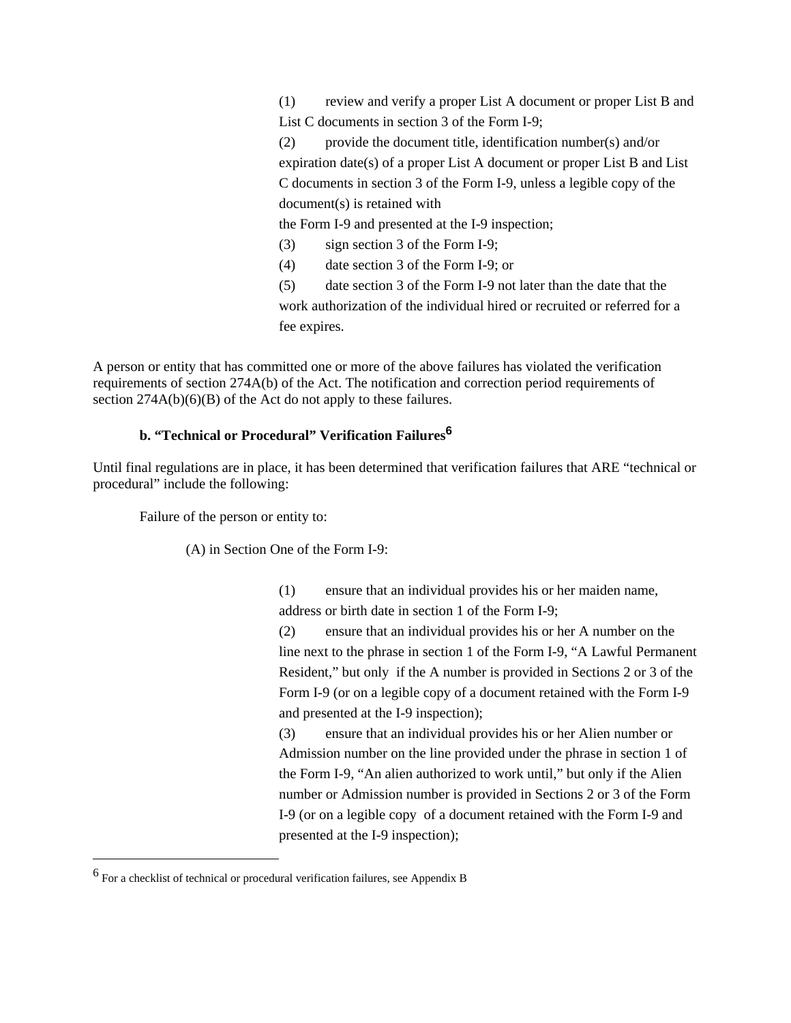(1) review and verify a proper List A document or proper List B and List C documents in section 3 of the Form I-9;

(2) provide the document title, identification number(s) and/or expiration date(s) of a proper List A document or proper List B and List C documents in section 3 of the Form I-9, unless a legible copy of the document(s) is retained with

the Form I-9 and presented at the I-9 inspection;

(3) sign section 3 of the Form I-9;

(4) date section 3 of the Form I-9; or

(5) date section 3 of the Form I-9 not later than the date that the work authorization of the individual hired or recruited or referred for a fee expires.

A person or entity that has committed one or more of the above failures has violated the verification requirements of section 274A(b) of the Act. The notification and correction period requirements of section 274A(b)(6)(B) of the Act do not apply to these failures.

#### **b. "Technical or Procedural" Verification Failures<sup>6</sup>**

Until final regulations are in place, it has been determined that verification failures that ARE "technical or procedural" include the following:

Failure of the person or entity to:

(A) in Section One of the Form I-9:

(1) ensure that an individual provides his or her maiden name, address or birth date in section 1 of the Form I-9;

(2) ensure that an individual provides his or her A number on the line next to the phrase in section 1 of the Form I-9, "A Lawful Permanent Resident," but only if the A number is provided in Sections 2 or 3 of the Form I-9 (or on a legible copy of a document retained with the Form I-9 and presented at the I-9 inspection);

(3) ensure that an individual provides his or her Alien number or Admission number on the line provided under the phrase in section 1 of the Form I-9, "An alien authorized to work until," but only if the Alien number or Admission number is provided in Sections 2 or 3 of the Form I-9 (or on a legible copy of a document retained with the Form I-9 and presented at the I-9 inspection);

 $\overline{a}$ 

<sup>6</sup> For a checklist of technical or procedural verification failures, see Appendix B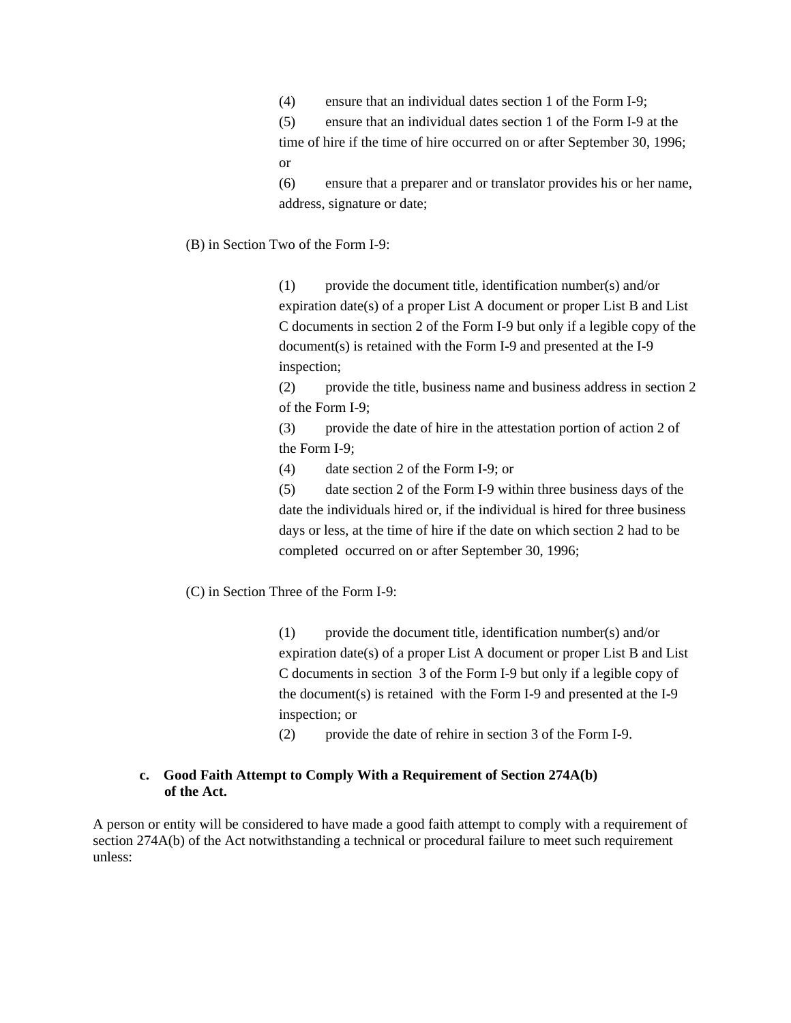(4) ensure that an individual dates section 1 of the Form I-9;

(5) ensure that an individual dates section 1 of the Form I-9 at the time of hire if the time of hire occurred on or after September 30, 1996; or

(6) ensure that a preparer and or translator provides his or her name, address, signature or date;

(B) in Section Two of the Form I-9:

(1) provide the document title, identification number(s) and/or expiration date(s) of a proper List A document or proper List B and List C documents in section 2 of the Form I-9 but only if a legible copy of the document(s) is retained with the Form I-9 and presented at the I-9 inspection;

(2) provide the title, business name and business address in section 2 of the Form I-9;

(3) provide the date of hire in the attestation portion of action 2 of the Form I-9;

(4) date section 2 of the Form I-9; or

(5) date section 2 of the Form I-9 within three business days of the date the individuals hired or, if the individual is hired for three business days or less, at the time of hire if the date on which section 2 had to be completed occurred on or after September 30, 1996;

(C) in Section Three of the Form I-9:

 $(1)$  provide the document title, identification number(s) and/or expiration date(s) of a proper List A document or proper List B and List C documents in section 3 of the Form I-9 but only if a legible copy of the document(s) is retained with the Form I-9 and presented at the I-9 inspection; or

(2) provide the date of rehire in section 3 of the Form I-9.

#### **c. Good Faith Attempt to Comply With a Requirement of Section 274A(b) of the Act.**

A person or entity will be considered to have made a good faith attempt to comply with a requirement of section 274A(b) of the Act notwithstanding a technical or procedural failure to meet such requirement unless: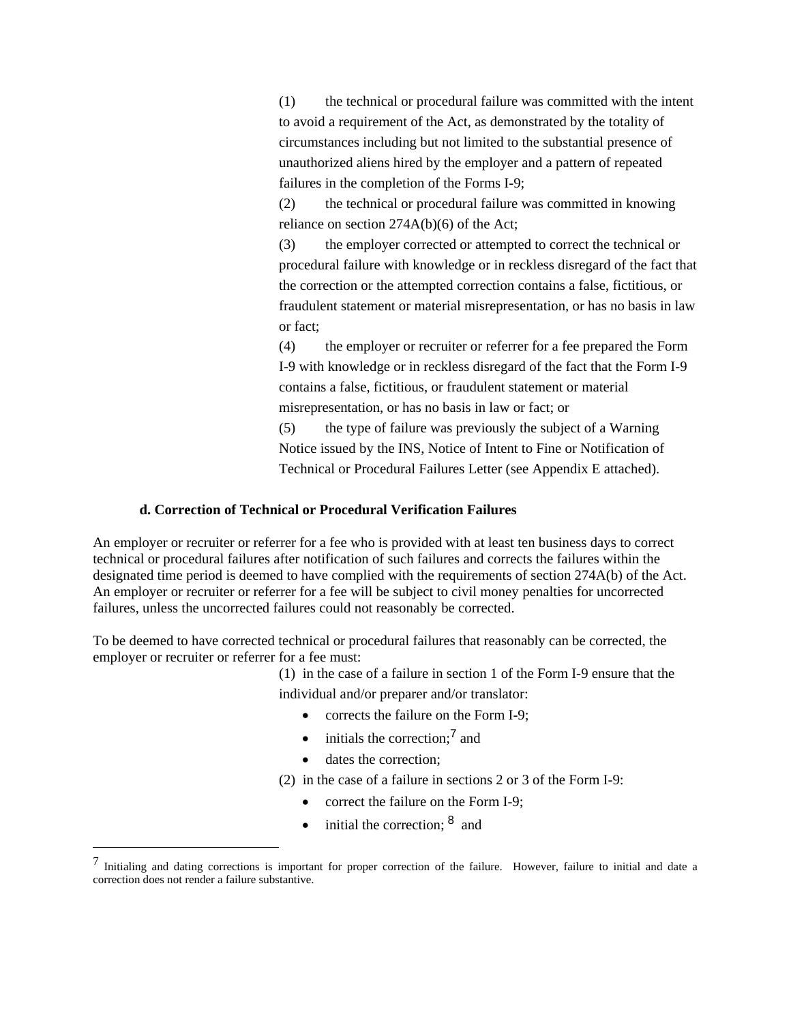(1) the technical or procedural failure was committed with the intent to avoid a requirement of the Act, as demonstrated by the totality of circumstances including but not limited to the substantial presence of unauthorized aliens hired by the employer and a pattern of repeated failures in the completion of the Forms I-9;

(2) the technical or procedural failure was committed in knowing reliance on section 274A(b)(6) of the Act;

(3) the employer corrected or attempted to correct the technical or procedural failure with knowledge or in reckless disregard of the fact that the correction or the attempted correction contains a false, fictitious, or fraudulent statement or material misrepresentation, or has no basis in law or fact;

(4) the employer or recruiter or referrer for a fee prepared the Form I-9 with knowledge or in reckless disregard of the fact that the Form I-9 contains a false, fictitious, or fraudulent statement or material misrepresentation, or has no basis in law or fact; or

(5) the type of failure was previously the subject of a Warning Notice issued by the INS, Notice of Intent to Fine or Notification of Technical or Procedural Failures Letter (see Appendix E attached).

#### **d. Correction of Technical or Procedural Verification Failures**

An employer or recruiter or referrer for a fee who is provided with at least ten business days to correct technical or procedural failures after notification of such failures and corrects the failures within the designated time period is deemed to have complied with the requirements of section 274A(b) of the Act. An employer or recruiter or referrer for a fee will be subject to civil money penalties for uncorrected failures, unless the uncorrected failures could not reasonably be corrected.

To be deemed to have corrected technical or procedural failures that reasonably can be corrected, the employer or recruiter or referrer for a fee must:

> (1) in the case of a failure in section 1 of the Form I-9 ensure that the individual and/or preparer and/or translator:

- corrects the failure on the Form I-9;
- $\bullet$  initials the correction:<sup>7</sup> and
- dates the correction:

 $\overline{a}$ 

- (2) in the case of a failure in sections 2 or 3 of the Form I-9:
	- correct the failure on the Form I-9;
	- $\bullet$  initial the correction;  $\delta$  and

 $<sup>7</sup>$  Initialing and dating corrections is important for proper correction of the failure. However, failure to initial and date a</sup> correction does not render a failure substantive.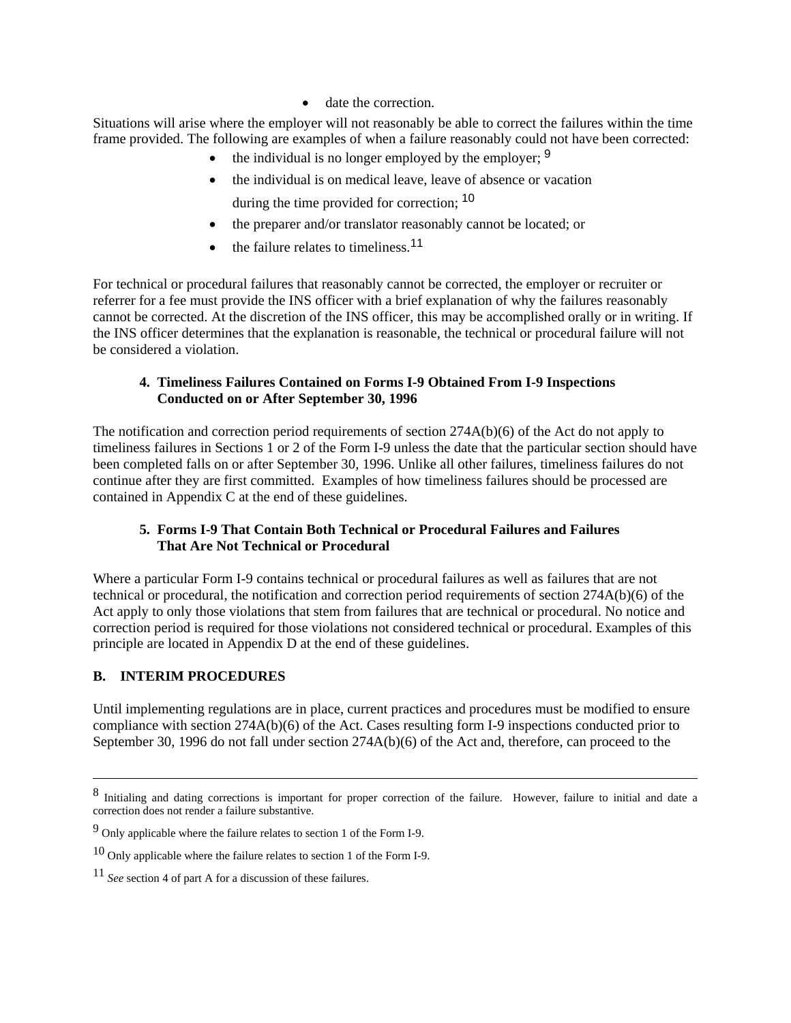• date the correction.

Situations will arise where the employer will not reasonably be able to correct the failures within the time frame provided. The following are examples of when a failure reasonably could not have been corrected:

- the individual is no longer employed by the employer;  $9$
- the individual is on medical leave, leave of absence or vacation during the time provided for correction: <sup>10</sup>
- the preparer and/or translator reasonably cannot be located; or
- $\bullet$  the failure relates to timeliness.<sup>11</sup>

For technical or procedural failures that reasonably cannot be corrected, the employer or recruiter or referrer for a fee must provide the INS officer with a brief explanation of why the failures reasonably cannot be corrected. At the discretion of the INS officer, this may be accomplished orally or in writing. If the INS officer determines that the explanation is reasonable, the technical or procedural failure will not be considered a violation.

#### **4. Timeliness Failures Contained on Forms I-9 Obtained From I-9 Inspections Conducted on or After September 30, 1996**

The notification and correction period requirements of section 274A(b)(6) of the Act do not apply to timeliness failures in Sections 1 or 2 of the Form I-9 unless the date that the particular section should have been completed falls on or after September 30, 1996. Unlike all other failures, timeliness failures do not continue after they are first committed. Examples of how timeliness failures should be processed are contained in Appendix C at the end of these guidelines.

#### **5. Forms I-9 That Contain Both Technical or Procedural Failures and Failures That Are Not Technical or Procedural**

Where a particular Form I-9 contains technical or procedural failures as well as failures that are not technical or procedural, the notification and correction period requirements of section 274A(b)(6) of the Act apply to only those violations that stem from failures that are technical or procedural. No notice and correction period is required for those violations not considered technical or procedural. Examples of this principle are located in Appendix D at the end of these guidelines.

## **B. INTERIM PROCEDURES**

Until implementing regulations are in place, current practices and procedures must be modified to ensure compliance with section 274A(b)(6) of the Act. Cases resulting form I-9 inspections conducted prior to September 30, 1996 do not fall under section 274A(b)(6) of the Act and, therefore, can proceed to the

 <sup>8</sup> Initialing and dating corrections is important for proper correction of the failure. However, failure to initial and date a correction does not render a failure substantive.

<sup>9</sup> Only applicable where the failure relates to section 1 of the Form I-9.

<sup>&</sup>lt;sup>10</sup> Only applicable where the failure relates to section 1 of the Form I-9.

<sup>11</sup> *See* section 4 of part A for a discussion of these failures.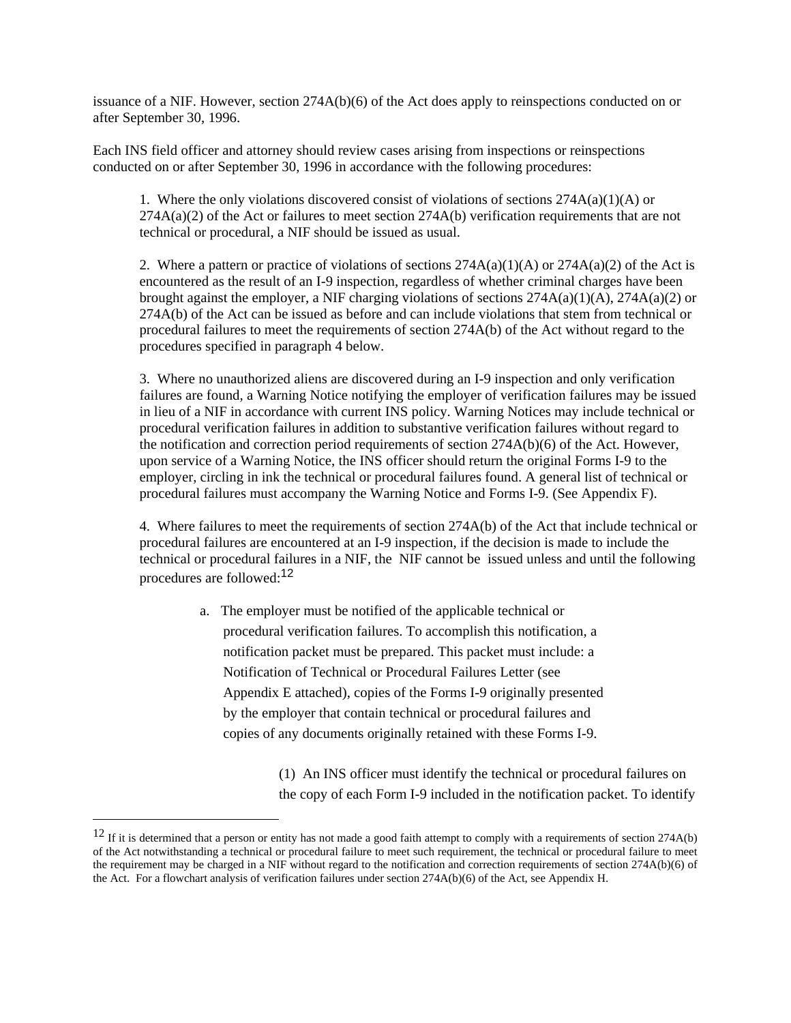issuance of a NIF. However, section 274A(b)(6) of the Act does apply to reinspections conducted on or after September 30, 1996.

Each INS field officer and attorney should review cases arising from inspections or reinspections conducted on or after September 30, 1996 in accordance with the following procedures:

1. Where the only violations discovered consist of violations of sections  $274A(a)(1)(A)$  or  $274A(a)(2)$  of the Act or failures to meet section  $274A(b)$  verification requirements that are not technical or procedural, a NIF should be issued as usual.

2. Where a pattern or practice of violations of sections  $274A(a)(1)(A)$  or  $274A(a)(2)$  of the Act is encountered as the result of an I-9 inspection, regardless of whether criminal charges have been brought against the employer, a NIF charging violations of sections 274A(a)(1)(A), 274A(a)(2) or 274A(b) of the Act can be issued as before and can include violations that stem from technical or procedural failures to meet the requirements of section 274A(b) of the Act without regard to the procedures specified in paragraph 4 below.

3. Where no unauthorized aliens are discovered during an I-9 inspection and only verification failures are found, a Warning Notice notifying the employer of verification failures may be issued in lieu of a NIF in accordance with current INS policy. Warning Notices may include technical or procedural verification failures in addition to substantive verification failures without regard to the notification and correction period requirements of section 274A(b)(6) of the Act. However, upon service of a Warning Notice, the INS officer should return the original Forms I-9 to the employer, circling in ink the technical or procedural failures found. A general list of technical or procedural failures must accompany the Warning Notice and Forms I-9. (See Appendix F).

4. Where failures to meet the requirements of section 274A(b) of the Act that include technical or procedural failures are encountered at an I-9 inspection, if the decision is made to include the technical or procedural failures in a NIF, the NIF cannot be issued unless and until the following procedures are followed:<sup>12</sup>

> a. The employer must be notified of the applicable technical or procedural verification failures. To accomplish this notification, a notification packet must be prepared. This packet must include: a Notification of Technical or Procedural Failures Letter (see Appendix E attached), copies of the Forms I-9 originally presented by the employer that contain technical or procedural failures and copies of any documents originally retained with these Forms I-9.

> > (1) An INS officer must identify the technical or procedural failures on the copy of each Form I-9 included in the notification packet. To identify

 $\overline{a}$ 

 $12$  If it is determined that a person or entity has not made a good faith attempt to comply with a requirements of section 274A(b) of the Act notwithstanding a technical or procedural failure to meet such requirement, the technical or procedural failure to meet the requirement may be charged in a NIF without regard to the notification and correction requirements of section 274A(b)(6) of the Act. For a flowchart analysis of verification failures under section 274A(b)(6) of the Act, see Appendix H.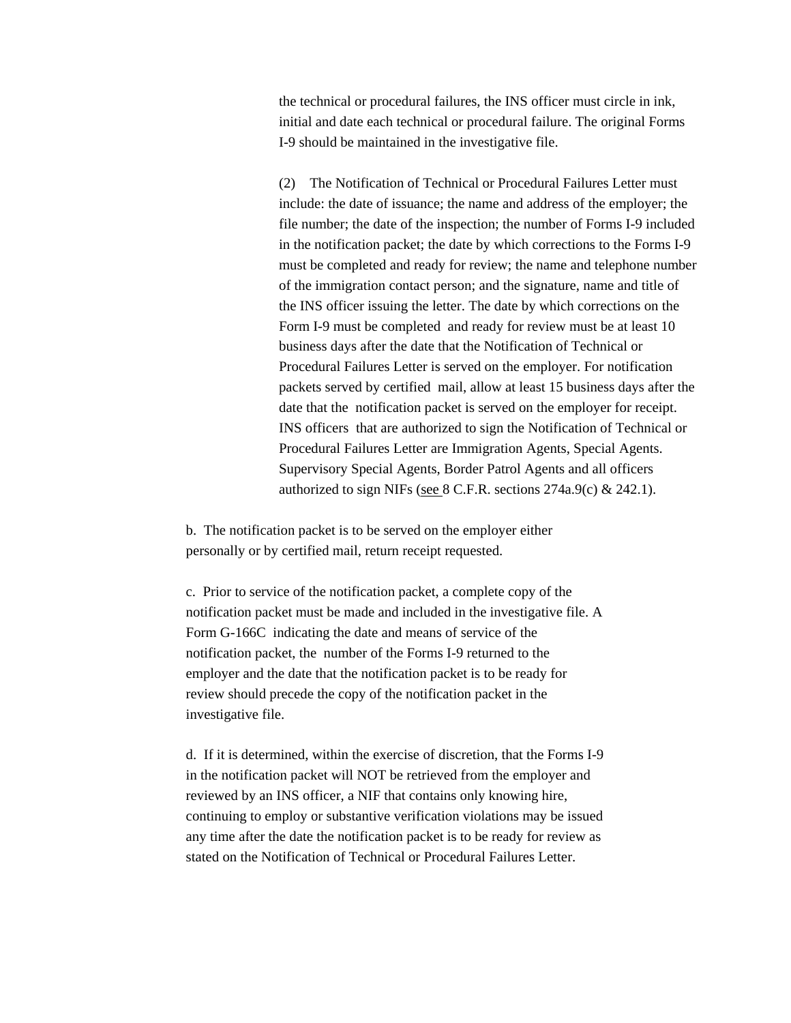the technical or procedural failures, the INS officer must circle in ink, initial and date each technical or procedural failure. The original Forms I-9 should be maintained in the investigative file.

(2) The Notification of Technical or Procedural Failures Letter must include: the date of issuance; the name and address of the employer; the file number; the date of the inspection; the number of Forms I-9 included in the notification packet; the date by which corrections to the Forms I-9 must be completed and ready for review; the name and telephone number of the immigration contact person; and the signature, name and title of the INS officer issuing the letter. The date by which corrections on the Form I-9 must be completed and ready for review must be at least 10 business days after the date that the Notification of Technical or Procedural Failures Letter is served on the employer. For notification packets served by certified mail, allow at least 15 business days after the date that the notification packet is served on the employer for receipt. INS officers that are authorized to sign the Notification of Technical or Procedural Failures Letter are Immigration Agents, Special Agents. Supervisory Special Agents, Border Patrol Agents and all officers authorized to sign NIFs (see 8 C.F.R. sections 274a.9(c) & 242.1).

b. The notification packet is to be served on the employer either personally or by certified mail, return receipt requested.

c. Prior to service of the notification packet, a complete copy of the notification packet must be made and included in the investigative file. A Form G-166C indicating the date and means of service of the notification packet, the number of the Forms I-9 returned to the employer and the date that the notification packet is to be ready for review should precede the copy of the notification packet in the investigative file.

d. If it is determined, within the exercise of discretion, that the Forms I-9 in the notification packet will NOT be retrieved from the employer and reviewed by an INS officer, a NIF that contains only knowing hire, continuing to employ or substantive verification violations may be issued any time after the date the notification packet is to be ready for review as stated on the Notification of Technical or Procedural Failures Letter.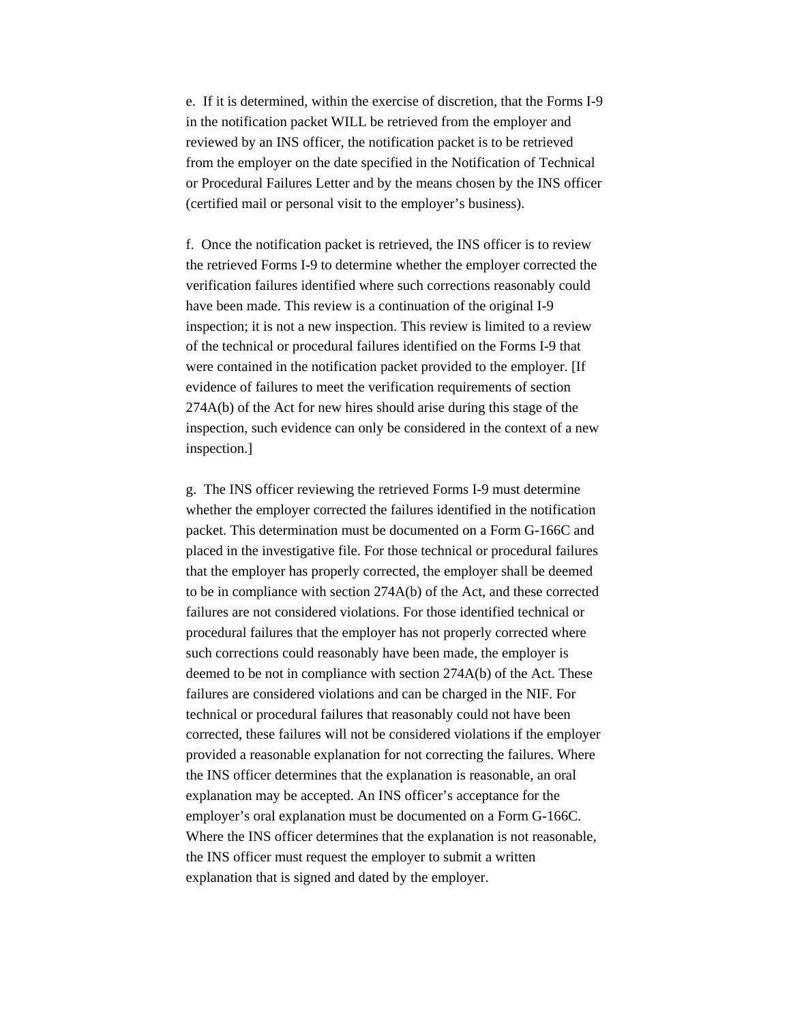e. If it is determined, within the exercise of discretion, that the Forms I-9 in the notification packet WILL be retrieved from the employer and reviewed by an INS officer, the notification packet is to be retrieved from the employer on the date specified in the Notification of Technical or Procedural Failures Letter and by the means chosen by the INS officer (certified mail or personal visit to the employer's business).

f. Once the notification packet is retrieved, the INS officer is to review the retrieved Forms I-9 to determine whether the employer corrected the verification failures identified where such corrections reasonably could have been made. This review is a continuation of the original I-9 inspection; it is not a new inspection. This review is limited to a review of the technical or procedural failures identified on the Forms I-9 that were contained in the notification packet provided to the employer. [If evidence of failures to meet the verification requirements of section 274A(b) of the Act for new hires should arise during this stage of the inspection, such evidence can only be considered in the context of a new inspection.]

g. The INS officer reviewing the retrieved Forms I-9 must determine whether the employer corrected the failures identified in the notification packet. This determination must be documented on a Form G-166C and placed in the investigative file. For those technical or procedural failures that the employer has properly corrected, the employer shall be deemed to be in compliance with section 274A(b) of the Act, and these corrected failures are not considered violations. For those identified technical or procedural failures that the employer has not properly corrected where such corrections could reasonably have been made, the employer is deemed to be not in compliance with section 274A(b) of the Act. These failures are considered violations and can be charged in the NIF. For technical or procedural failures that reasonably could not have been corrected, these failures will not be considered violations if the employer provided a reasonable explanation for not correcting the failures. Where the INS officer determines that the explanation is reasonable, an oral explanation may be accepted. An INS officer's acceptance for the employer's oral explanation must be documented on a Form G-166C. Where the INS officer determines that the explanation is not reasonable, the INS officer must request the employer to submit a written explanation that is signed and dated by the employer.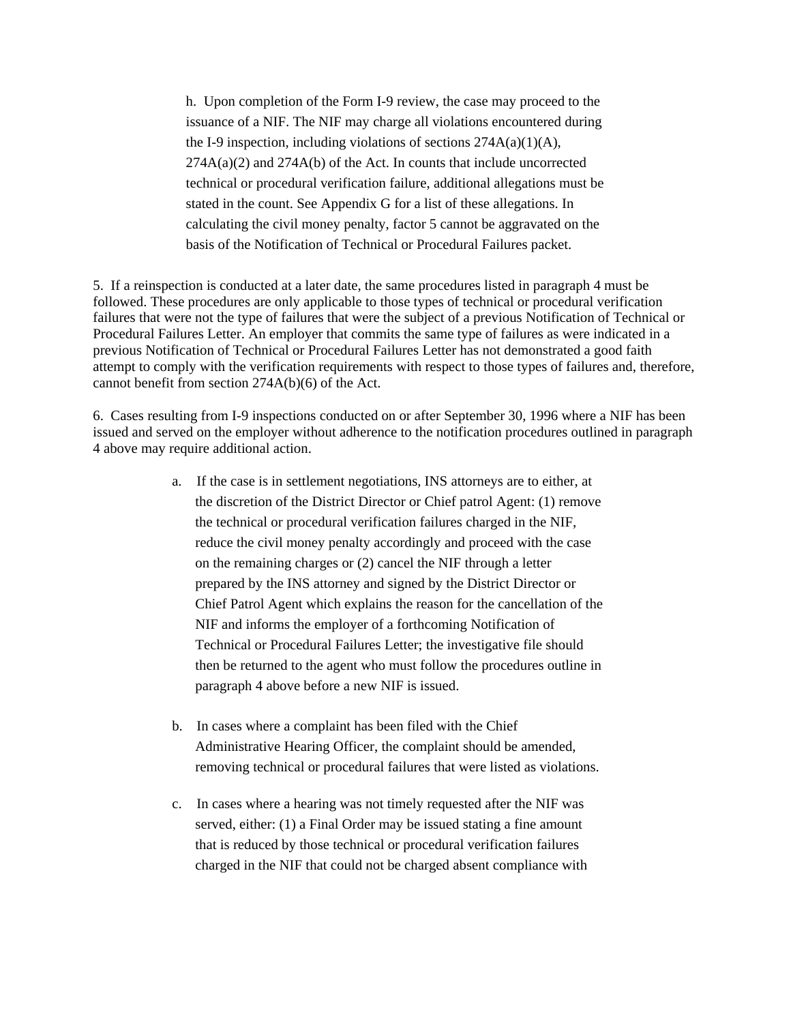h. Upon completion of the Form I-9 review, the case may proceed to the issuance of a NIF. The NIF may charge all violations encountered during the I-9 inspection, including violations of sections  $274A(a)(1)(A)$ ,  $274A(a)(2)$  and  $274A(b)$  of the Act. In counts that include uncorrected technical or procedural verification failure, additional allegations must be stated in the count. See Appendix G for a list of these allegations. In calculating the civil money penalty, factor 5 cannot be aggravated on the basis of the Notification of Technical or Procedural Failures packet.

5. If a reinspection is conducted at a later date, the same procedures listed in paragraph 4 must be followed. These procedures are only applicable to those types of technical or procedural verification failures that were not the type of failures that were the subject of a previous Notification of Technical or Procedural Failures Letter. An employer that commits the same type of failures as were indicated in a previous Notification of Technical or Procedural Failures Letter has not demonstrated a good faith attempt to comply with the verification requirements with respect to those types of failures and, therefore, cannot benefit from section 274A(b)(6) of the Act.

6. Cases resulting from I-9 inspections conducted on or after September 30, 1996 where a NIF has been issued and served on the employer without adherence to the notification procedures outlined in paragraph 4 above may require additional action.

- a. If the case is in settlement negotiations, INS attorneys are to either, at the discretion of the District Director or Chief patrol Agent: (1) remove the technical or procedural verification failures charged in the NIF, reduce the civil money penalty accordingly and proceed with the case on the remaining charges or (2) cancel the NIF through a letter prepared by the INS attorney and signed by the District Director or Chief Patrol Agent which explains the reason for the cancellation of the NIF and informs the employer of a forthcoming Notification of Technical or Procedural Failures Letter; the investigative file should then be returned to the agent who must follow the procedures outline in paragraph 4 above before a new NIF is issued.
- b. In cases where a complaint has been filed with the Chief Administrative Hearing Officer, the complaint should be amended, removing technical or procedural failures that were listed as violations.
- c. In cases where a hearing was not timely requested after the NIF was served, either: (1) a Final Order may be issued stating a fine amount that is reduced by those technical or procedural verification failures charged in the NIF that could not be charged absent compliance with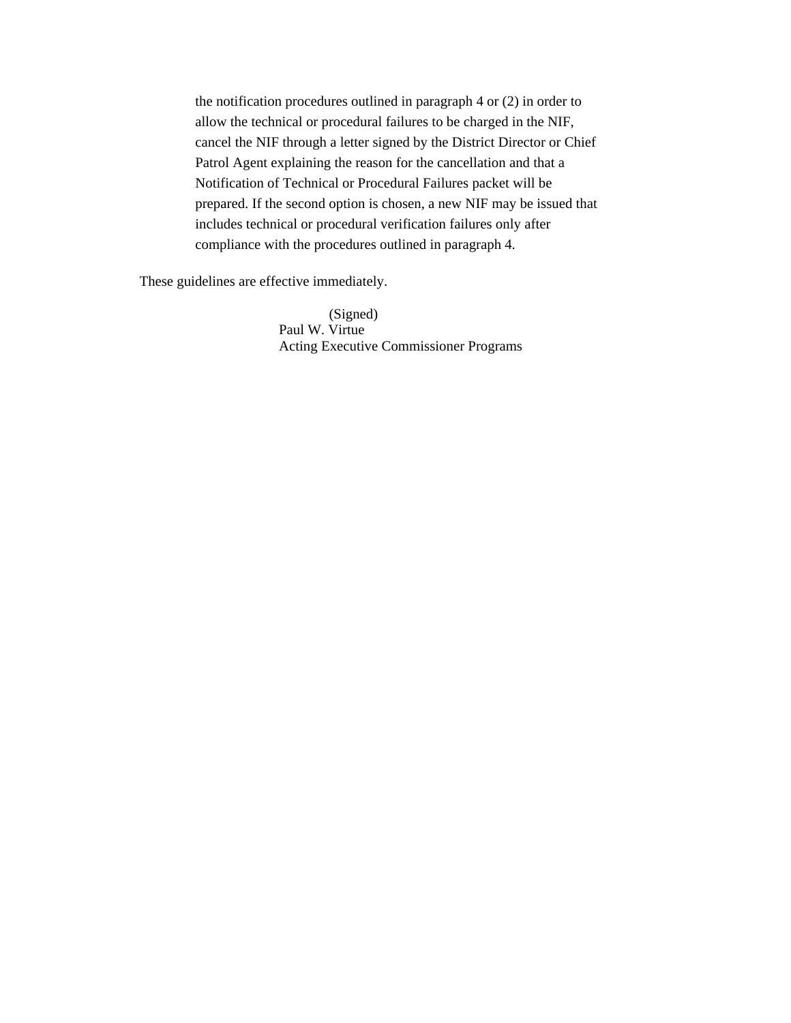the notification procedures outlined in paragraph 4 or (2) in order to allow the technical or procedural failures to be charged in the NIF, cancel the NIF through a letter signed by the District Director or Chief Patrol Agent explaining the reason for the cancellation and that a Notification of Technical or Procedural Failures packet will be prepared. If the second option is chosen, a new NIF may be issued that includes technical or procedural verification failures only after compliance with the procedures outlined in paragraph 4.

These guidelines are effective immediately.

 (Signed) Paul W. Virtue Acting Executive Commissioner Programs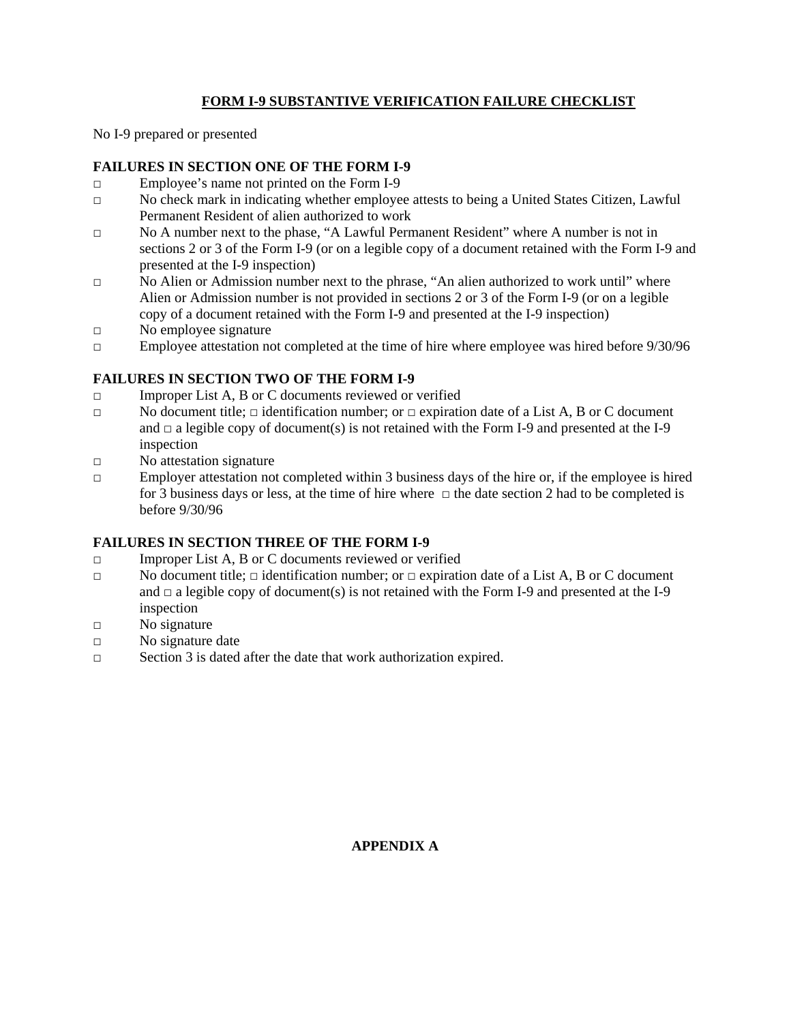## **FORM I-9 SUBSTANTIVE VERIFICATION FAILURE CHECKLIST**

No I-9 prepared or presented

## **FAILURES IN SECTION ONE OF THE FORM I-9**

- □ Employee's name not printed on the Form I-9
- □ No check mark in indicating whether employee attests to being a United States Citizen, Lawful Permanent Resident of alien authorized to work
- □ No A number next to the phase, "A Lawful Permanent Resident" where A number is not in sections 2 or 3 of the Form I-9 (or on a legible copy of a document retained with the Form I-9 and presented at the I-9 inspection)
- □ No Alien or Admission number next to the phrase, "An alien authorized to work until" where Alien or Admission number is not provided in sections 2 or 3 of the Form I-9 (or on a legible copy of a document retained with the Form I-9 and presented at the I-9 inspection)
- □ No employee signature
- □ Employee attestation not completed at the time of hire where employee was hired before 9/30/96

## **FAILURES IN SECTION TWO OF THE FORM I-9**

- $\square$  Improper List A, B or C documents reviewed or verified
- □ No document title;  $\Box$  identification number; or  $\Box$  expiration date of a List A, B or C document and  $\Box$  a legible copy of document(s) is not retained with the Form I-9 and presented at the I-9 inspection
- □ No attestation signature
- $\Box$  Employer attestation not completed within 3 business days of the hire or, if the employee is hired for 3 business days or less, at the time of hire where  $\Box$  the date section 2 had to be completed is before 9/30/96

## **FAILURES IN SECTION THREE OF THE FORM I-9**

- □ Improper List A, B or C documents reviewed or verified
- □ No document title;  $\Box$  identification number; or  $\Box$  expiration date of a List A, B or C document and  $\Box$  a legible copy of document(s) is not retained with the Form I-9 and presented at the I-9 inspection
- □ No signature
- □ No signature date
- □ Section 3 is dated after the date that work authorization expired.

**APPENDIX A**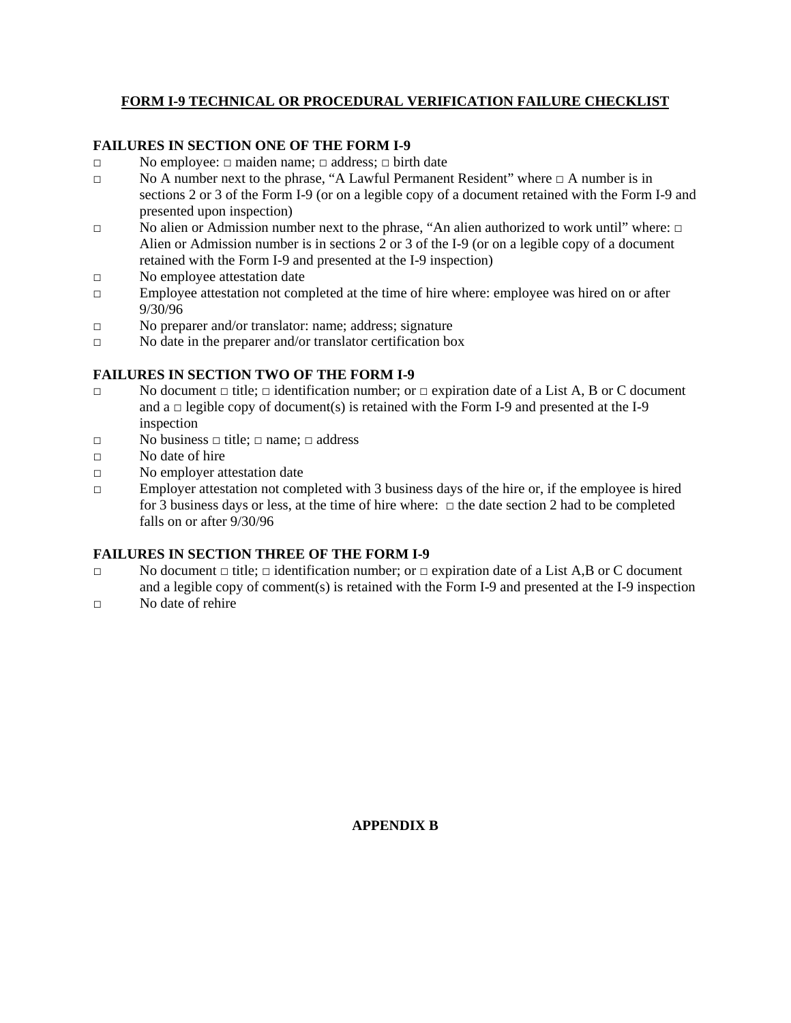## **FORM I-9 TECHNICAL OR PROCEDURAL VERIFICATION FAILURE CHECKLIST**

## **FAILURES IN SECTION ONE OF THE FORM I-9**

- □ No employee: □ maiden name; □ address; □ birth date
- □ No A number next to the phrase, "A Lawful Permanent Resident" where □ A number is in sections 2 or 3 of the Form I-9 (or on a legible copy of a document retained with the Form I-9 and presented upon inspection)
- □ No alien or Admission number next to the phrase, "An alien authorized to work until" where: □ Alien or Admission number is in sections 2 or 3 of the I-9 (or on a legible copy of a document retained with the Form I-9 and presented at the I-9 inspection)
- □ No employee attestation date
- $\Box$  Employee attestation not completed at the time of hire where: employee was hired on or after 9/30/96
- □ No preparer and/or translator: name; address; signature
- □ No date in the preparer and/or translator certification box

## **FAILURES IN SECTION TWO OF THE FORM I-9**

- □ No document □ title; □ identification number; or □ expiration date of a List A, B or C document and  $a \Box$  legible copy of document(s) is retained with the Form I-9 and presented at the I-9 inspection
- □ No business □ title; □ name; □ address
- □ No date of hire
- □ No employer attestation date
- $\square$  Employer attestation not completed with 3 business days of the hire or, if the employee is hired for 3 business days or less, at the time of hire where: □ the date section 2 had to be completed falls on or after 9/30/96

## **FAILURES IN SECTION THREE OF THE FORM I-9**

- □ No document  $\Box$  title;  $\Box$  identification number; or  $\Box$  expiration date of a List A,B or C document and a legible copy of comment(s) is retained with the Form I-9 and presented at the I-9 inspection
- $\neg$  No date of rehire

**APPENDIX B**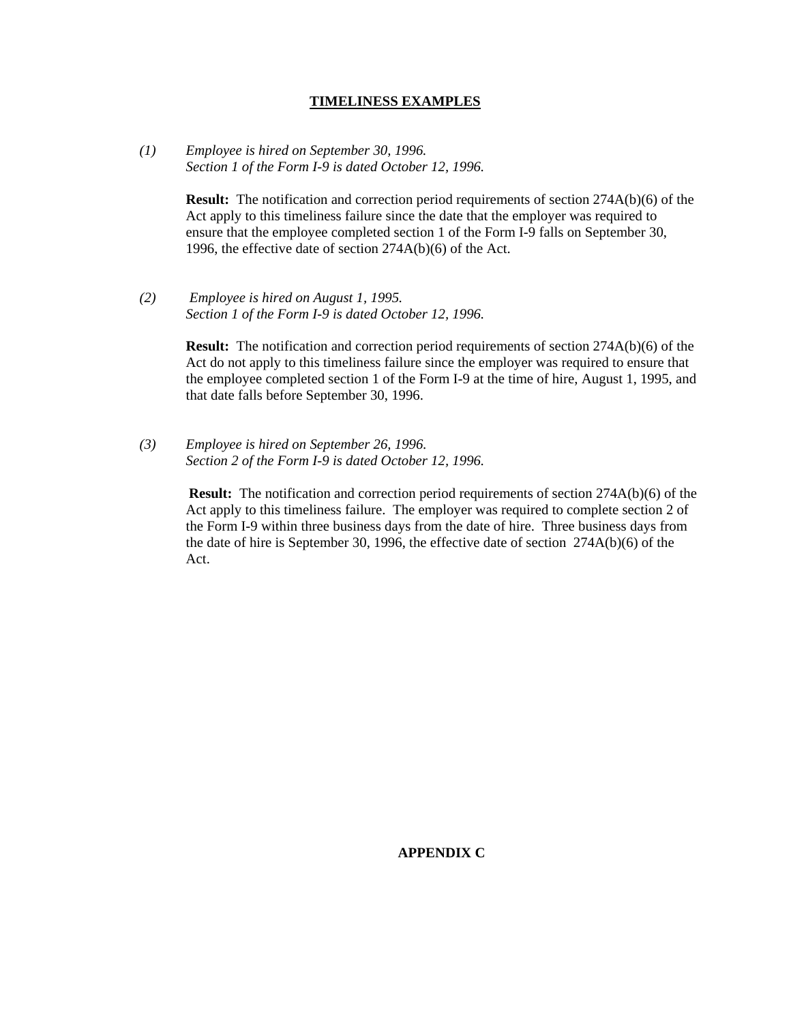#### **TIMELINESS EXAMPLES**

*(1) Employee is hired on September 30, 1996. Section 1 of the Form I-9 is dated October 12, 1996.* 

> **Result:** The notification and correction period requirements of section 274A(b)(6) of the Act apply to this timeliness failure since the date that the employer was required to ensure that the employee completed section 1 of the Form I-9 falls on September 30, 1996, the effective date of section 274A(b)(6) of the Act.

*(2) Employee is hired on August 1, 1995. Section 1 of the Form I-9 is dated October 12, 1996.* 

> **Result:** The notification and correction period requirements of section 274A(b)(6) of the Act do not apply to this timeliness failure since the employer was required to ensure that the employee completed section 1 of the Form I-9 at the time of hire, August 1, 1995, and that date falls before September 30, 1996.

*(3) Employee is hired on September 26, 1996. Section 2 of the Form I-9 is dated October 12, 1996.* 

> **Result:** The notification and correction period requirements of section 274A(b)(6) of the Act apply to this timeliness failure. The employer was required to complete section 2 of the Form I-9 within three business days from the date of hire. Three business days from the date of hire is September 30, 1996, the effective date of section 274A(b)(6) of the Act.

> > **APPENDIX C**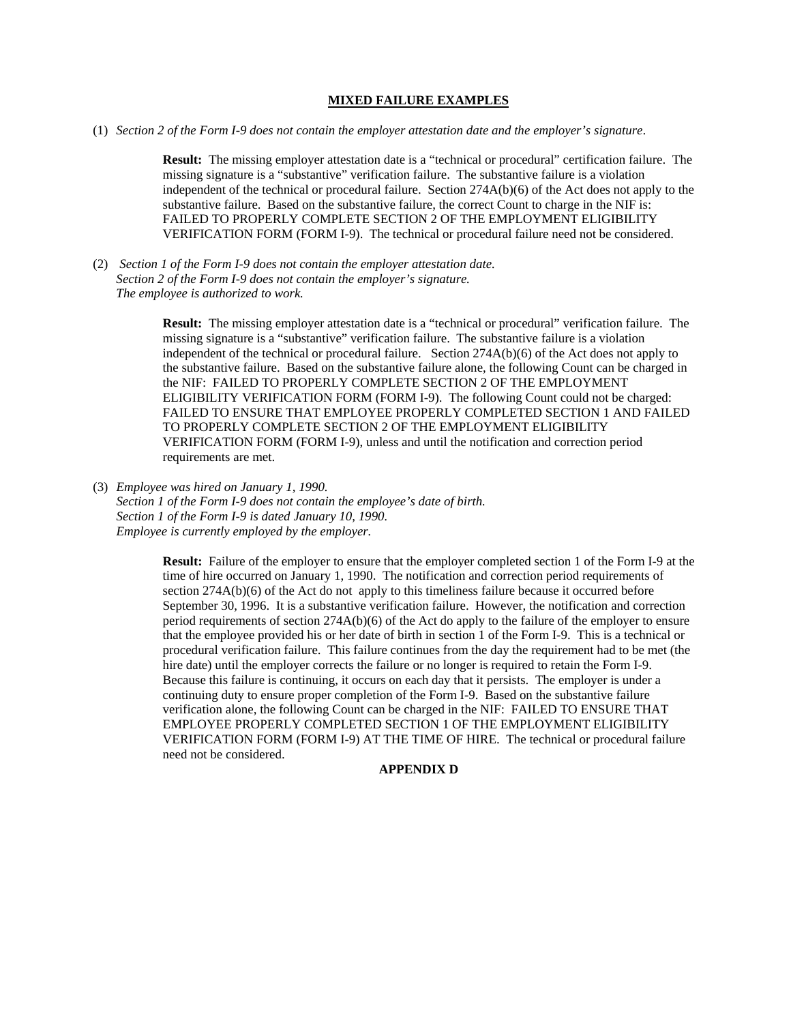#### **MIXED FAILURE EXAMPLES**

(1) *Section 2 of the Form I-9 does not contain the employer attestation date and the employer's signature*.

**Result:** The missing employer attestation date is a "technical or procedural" certification failure. The missing signature is a "substantive" verification failure. The substantive failure is a violation independent of the technical or procedural failure. Section 274A(b)(6) of the Act does not apply to the substantive failure. Based on the substantive failure, the correct Count to charge in the NIF is: FAILED TO PROPERLY COMPLETE SECTION 2 OF THE EMPLOYMENT ELIGIBILITY VERIFICATION FORM (FORM I-9). The technical or procedural failure need not be considered.

(2) *Section 1 of the Form I-9 does not contain the employer attestation date. Section 2 of the Form I-9 does not contain the employer's signature. The employee is authorized to work.* 

> **Result:** The missing employer attestation date is a "technical or procedural" verification failure. The missing signature is a "substantive" verification failure. The substantive failure is a violation independent of the technical or procedural failure. Section 274A(b)(6) of the Act does not apply to the substantive failure. Based on the substantive failure alone, the following Count can be charged in the NIF: FAILED TO PROPERLY COMPLETE SECTION 2 OF THE EMPLOYMENT ELIGIBILITY VERIFICATION FORM (FORM I-9). The following Count could not be charged: FAILED TO ENSURE THAT EMPLOYEE PROPERLY COMPLETED SECTION 1 AND FAILED TO PROPERLY COMPLETE SECTION 2 OF THE EMPLOYMENT ELIGIBILITY VERIFICATION FORM (FORM I-9), unless and until the notification and correction period requirements are met.

(3) *Employee was hired on January 1, 1990. Section 1 of the Form I-9 does not contain the employee's date of birth. Section 1 of the Form I-9 is dated January 10, 1990. Employee is currently employed by the employer.* 

> **Result:** Failure of the employer to ensure that the employer completed section 1 of the Form I-9 at the time of hire occurred on January 1, 1990. The notification and correction period requirements of section 274A(b)(6) of the Act do not apply to this timeliness failure because it occurred before September 30, 1996. It is a substantive verification failure. However, the notification and correction period requirements of section 274A(b)(6) of the Act do apply to the failure of the employer to ensure that the employee provided his or her date of birth in section 1 of the Form I-9. This is a technical or procedural verification failure. This failure continues from the day the requirement had to be met (the hire date) until the employer corrects the failure or no longer is required to retain the Form I-9. Because this failure is continuing, it occurs on each day that it persists. The employer is under a continuing duty to ensure proper completion of the Form I-9. Based on the substantive failure verification alone, the following Count can be charged in the NIF: FAILED TO ENSURE THAT EMPLOYEE PROPERLY COMPLETED SECTION 1 OF THE EMPLOYMENT ELIGIBILITY VERIFICATION FORM (FORM I-9) AT THE TIME OF HIRE. The technical or procedural failure need not be considered.

#### **APPENDIX D**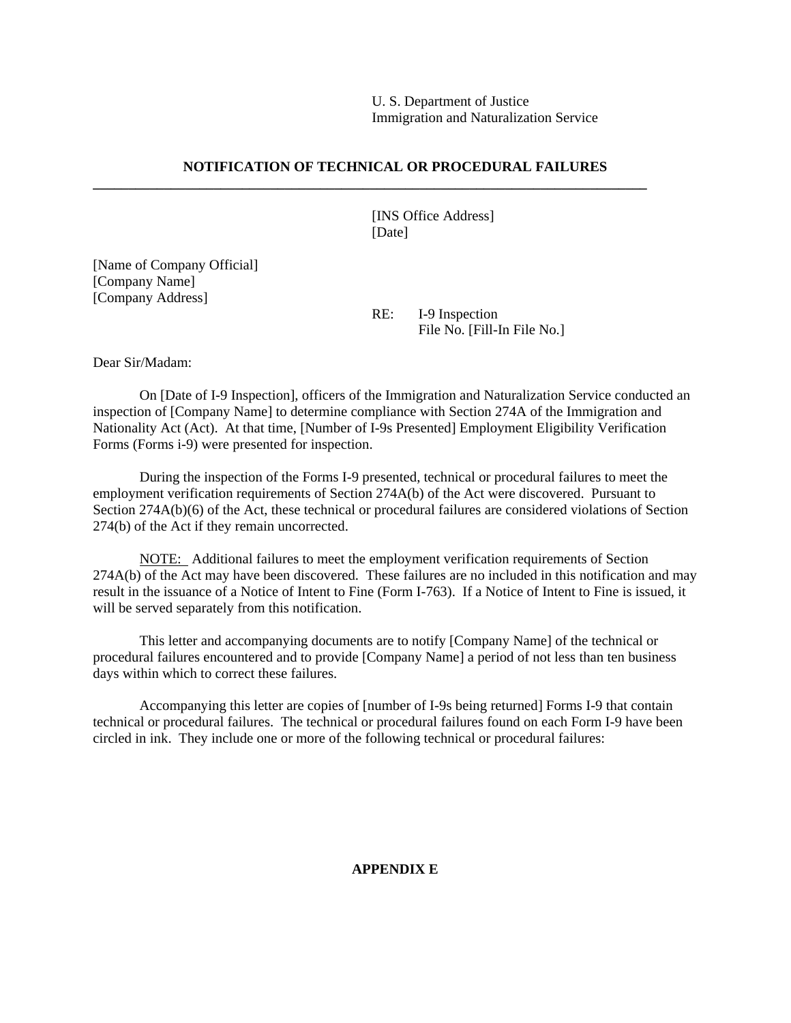U. S. Department of Justice Immigration and Naturalization Service

#### **NOTIFICATION OF TECHNICAL OR PROCEDURAL FAILURES**

**\_\_\_\_\_\_\_\_\_\_\_\_\_\_\_\_\_\_\_\_\_\_\_\_\_\_\_\_\_\_\_\_\_\_\_\_\_\_\_\_\_\_\_\_\_\_\_\_\_\_\_\_\_\_\_\_\_\_\_\_\_\_\_\_\_\_\_\_\_\_\_\_\_\_\_\_\_\_** 

 [INS Office Address] [Date]

[Name of Company Official] [Company Name] [Company Address]

> RE: I-9 Inspection File No. [Fill-In File No.]

Dear Sir/Madam:

 On [Date of I-9 Inspection], officers of the Immigration and Naturalization Service conducted an inspection of [Company Name] to determine compliance with Section 274A of the Immigration and Nationality Act (Act). At that time, [Number of I-9s Presented] Employment Eligibility Verification Forms (Forms i-9) were presented for inspection.

 During the inspection of the Forms I-9 presented, technical or procedural failures to meet the employment verification requirements of Section 274A(b) of the Act were discovered. Pursuant to Section 274A(b)(6) of the Act, these technical or procedural failures are considered violations of Section 274(b) of the Act if they remain uncorrected.

 NOTE: Additional failures to meet the employment verification requirements of Section 274A(b) of the Act may have been discovered. These failures are no included in this notification and may result in the issuance of a Notice of Intent to Fine (Form I-763). If a Notice of Intent to Fine is issued, it will be served separately from this notification.

 This letter and accompanying documents are to notify [Company Name] of the technical or procedural failures encountered and to provide [Company Name] a period of not less than ten business days within which to correct these failures.

 Accompanying this letter are copies of [number of I-9s being returned] Forms I-9 that contain technical or procedural failures. The technical or procedural failures found on each Form I-9 have been circled in ink. They include one or more of the following technical or procedural failures:

#### **APPENDIX E**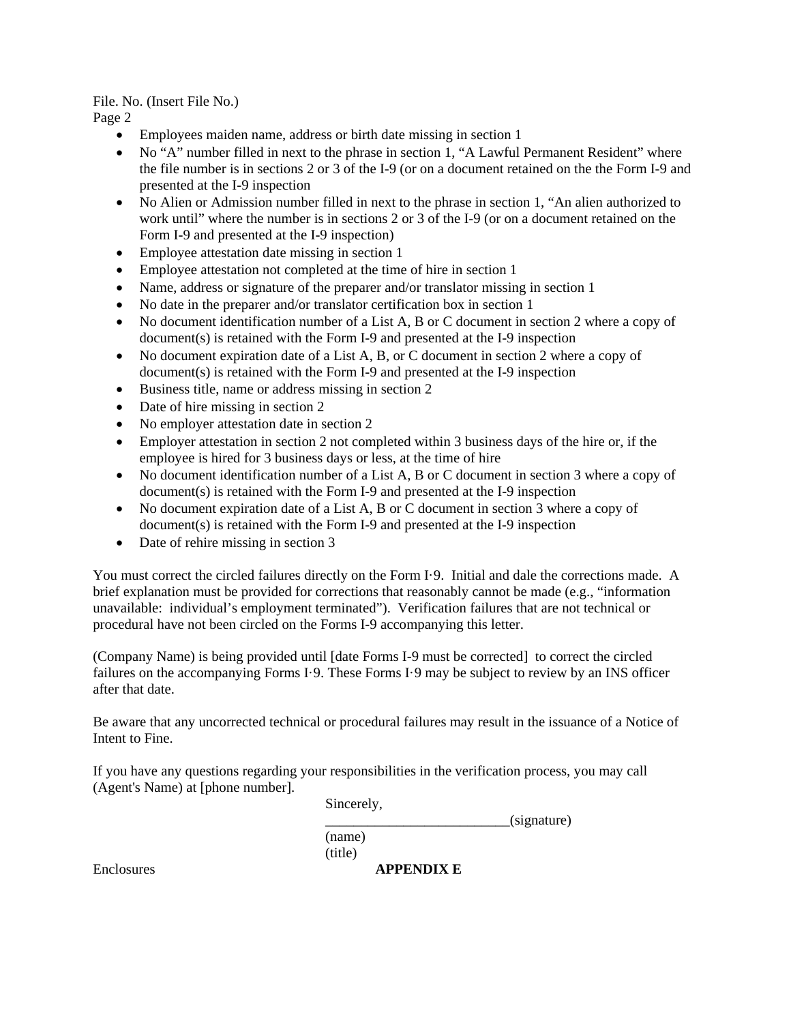File. No. (Insert File No.)

Page 2

- Employees maiden name, address or birth date missing in section 1
- No "A" number filled in next to the phrase in section 1, "A Lawful Permanent Resident" where the file number is in sections 2 or 3 of the I-9 (or on a document retained on the the Form I-9 and presented at the I-9 inspection
- No Alien or Admission number filled in next to the phrase in section 1, "An alien authorized to work until" where the number is in sections 2 or 3 of the I-9 (or on a document retained on the Form I-9 and presented at the I-9 inspection)
- Employee attestation date missing in section 1
- Employee attestation not completed at the time of hire in section 1
- Name, address or signature of the preparer and/or translator missing in section 1
- No date in the preparer and/or translator certification box in section 1
- No document identification number of a List A, B or C document in section 2 where a copy of document(s) is retained with the Form I-9 and presented at the I-9 inspection
- No document expiration date of a List A, B, or C document in section 2 where a copy of document(s) is retained with the Form I-9 and presented at the I-9 inspection
- Business title, name or address missing in section 2
- Date of hire missing in section 2
- No employer attestation date in section 2
- Employer attestation in section 2 not completed within 3 business days of the hire or, if the employee is hired for 3 business days or less, at the time of hire
- No document identification number of a List A, B or C document in section 3 where a copy of document(s) is retained with the Form I-9 and presented at the I-9 inspection
- No document expiration date of a List A, B or C document in section 3 where a copy of document(s) is retained with the Form I-9 and presented at the I-9 inspection
- Date of rehire missing in section 3

You must correct the circled failures directly on the Form I·9. Initial and dale the corrections made. A brief explanation must be provided for corrections that reasonably cannot be made (e.g., "information unavailable: individual's employment terminated"). Verification failures that are not technical or procedural have not been circled on the Forms I-9 accompanying this letter.

(Company Name) is being provided until [date Forms I-9 must be corrected] to correct the circled failures on the accompanying Forms I·9. These Forms I·9 may be subject to review by an INS officer after that date.

Be aware that any uncorrected technical or procedural failures may result in the issuance of a Notice of Intent to Fine.

If you have any questions regarding your responsibilities in the verification process, you may call (Agent's Name) at [phone number].

Sincerely,

 $_$ (signature)

 (name) (title)

Enclosures **APPENDIX E**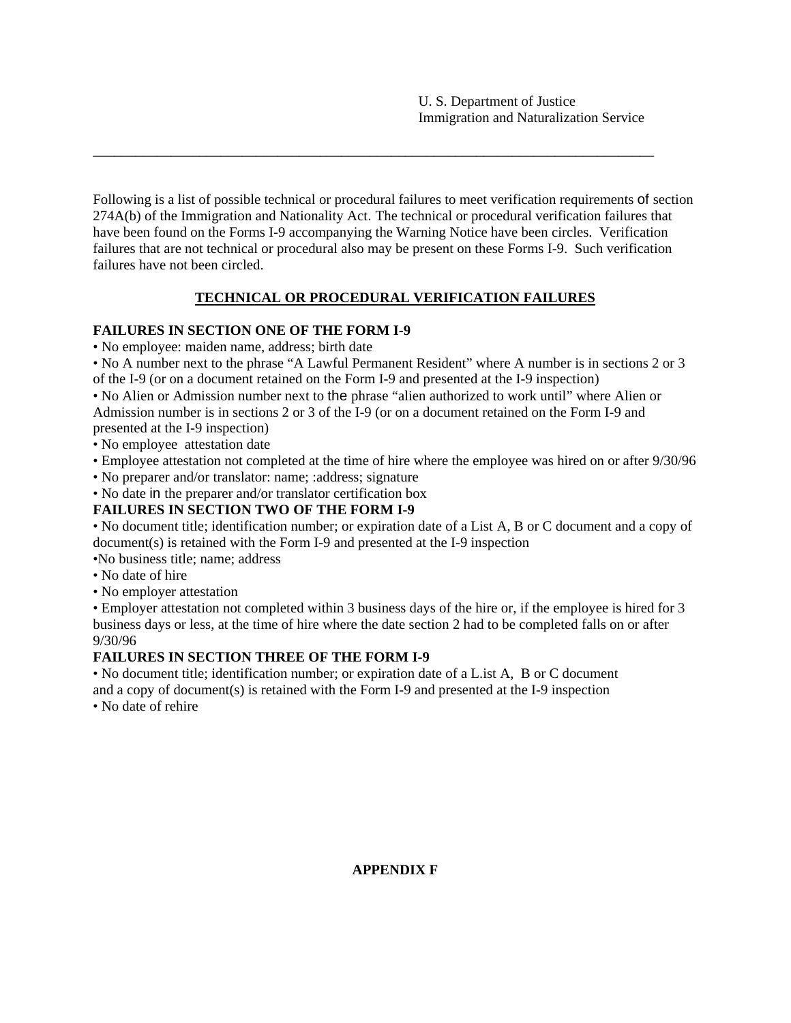Following is a list of possible technical or procedural failures to meet verification requirements of section 274A(b) of the Immigration and Nationality Act. The technical or procedural verification failures that have been found on the Forms I-9 accompanying the Warning Notice have been circles. Verification failures that are not technical or procedural also may be present on these Forms I-9. Such verification failures have not been circled.

\_\_\_\_\_\_\_\_\_\_\_\_\_\_\_\_\_\_\_\_\_\_\_\_\_\_\_\_\_\_\_\_\_\_\_\_\_\_\_\_\_\_\_\_\_\_\_\_\_\_\_\_\_\_\_\_\_\_\_\_\_\_\_\_\_\_\_\_\_\_\_\_\_\_\_\_\_\_\_

## **TECHNICAL OR PROCEDURAL VERIFICATION FAILURES**

## **FAILURES IN SECTION ONE OF THE FORM I-9**

• No employee: maiden name, address; birth date

• No A number next to the phrase "A Lawful Permanent Resident" where A number is in sections 2 or 3 of the I-9 (or on a document retained on the Form I-9 and presented at the I-9 inspection)

• No Alien or Admission number next to the phrase "alien authorized to work until" where Alien or Admission number is in sections 2 or 3 of the I-9 (or on a document retained on the Form I-9 and presented at the I-9 inspection)

- No employee attestation date
- Employee attestation not completed at the time of hire where the employee was hired on or after 9/30/96
- No preparer and/or translator: name; :address; signature
- No date in the preparer and/or translator certification box

## **FAILURES IN SECTION TWO OF THE FORM I-9**

• No document title; identification number; or expiration date of a List A, B or C document and a copy of document(s) is retained with the Form I-9 and presented at the I-9 inspection

•No business title; name; address

- No date of hire
- No employer attestation

• Employer attestation not completed within 3 business days of the hire or, if the employee is hired for 3 business days or less, at the time of hire where the date section 2 had to be completed falls on or after 9/30/96

## **FAILURES IN SECTION THREE OF THE FORM I-9**

• No document title; identification number; or expiration date of a L.ist A, B or C document and a copy of document(s) is retained with the Form I-9 and presented at the I-9 inspection

• No date of rehire

## **APPENDIX F**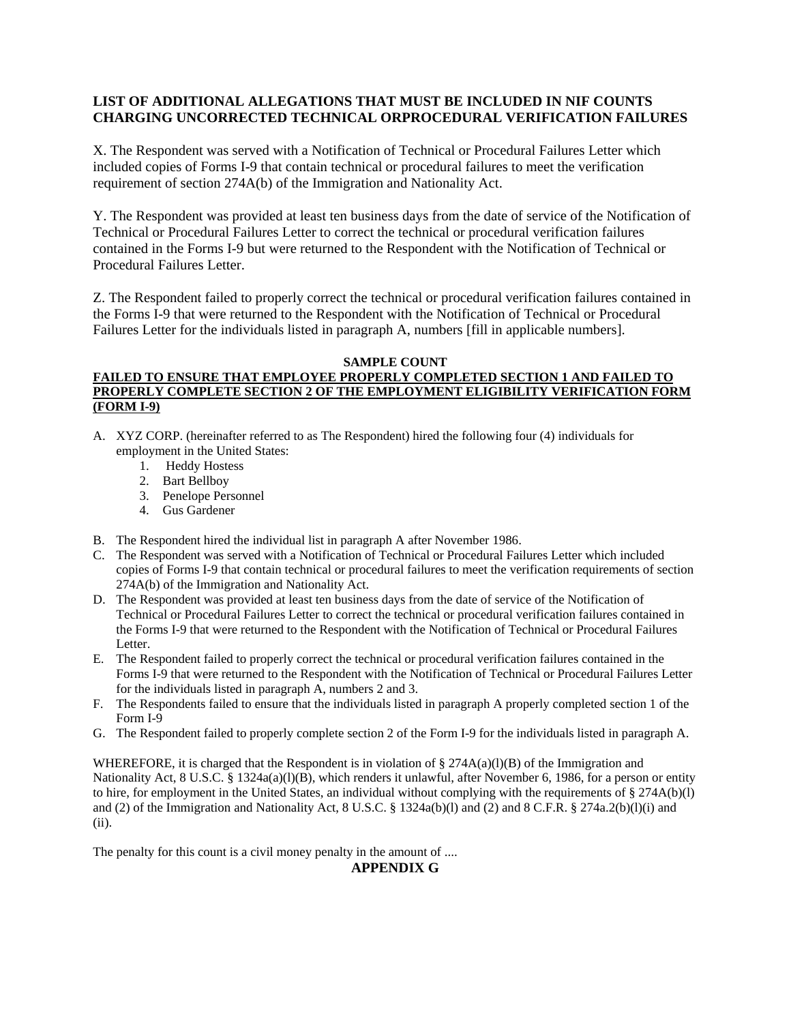#### **LIST OF ADDITIONAL ALLEGATIONS THAT MUST BE INCLUDED IN NIF COUNTS CHARGING UNCORRECTED TECHNICAL ORPROCEDURAL VERIFICATION FAILURES**

X. The Respondent was served with a Notification of Technical or Procedural Failures Letter which included copies of Forms I-9 that contain technical or procedural failures to meet the verification requirement of section 274A(b) of the Immigration and Nationality Act.

Y. The Respondent was provided at least ten business days from the date of service of the Notification of Technical or Procedural Failures Letter to correct the technical or procedural verification failures contained in the Forms I-9 but were returned to the Respondent with the Notification of Technical or Procedural Failures Letter.

Z. The Respondent failed to properly correct the technical or procedural verification failures contained in the Forms I-9 that were returned to the Respondent with the Notification of Technical or Procedural Failures Letter for the individuals listed in paragraph A, numbers [fill in applicable numbers].

#### **SAMPLE COUNT**

#### **FAILED TO ENSURE THAT EMPLOYEE PROPERLY COMPLETED SECTION 1 AND FAILED TO PROPERLY COMPLETE SECTION 2 OF THE EMPLOYMENT ELIGIBILITY VERIFICATION FORM (FORM I-9)**

- A. XYZ CORP. (hereinafter referred to as The Respondent) hired the following four (4) individuals for employment in the United States:
	- 1. Heddy Hostess
	- 2. Bart Bellboy
	- 3. Penelope Personnel
	- 4. Gus Gardener
- B. The Respondent hired the individual list in paragraph A after November 1986.
- C. The Respondent was served with a Notification of Technical or Procedural Failures Letter which included copies of Forms I-9 that contain technical or procedural failures to meet the verification requirements of section 274A(b) of the Immigration and Nationality Act.
- D. The Respondent was provided at least ten business days from the date of service of the Notification of Technical or Procedural Failures Letter to correct the technical or procedural verification failures contained in the Forms I-9 that were returned to the Respondent with the Notification of Technical or Procedural Failures Letter.
- E. The Respondent failed to properly correct the technical or procedural verification failures contained in the Forms I-9 that were returned to the Respondent with the Notification of Technical or Procedural Failures Letter for the individuals listed in paragraph A, numbers 2 and 3.
- F. The Respondents failed to ensure that the individuals listed in paragraph A properly completed section 1 of the Form I-9
- G. The Respondent failed to properly complete section 2 of the Form I-9 for the individuals listed in paragraph A.

WHEREFORE, it is charged that the Respondent is in violation of § 274A(a)(l)(B) of the Immigration and Nationality Act, 8 U.S.C. § 1324a(a)(l)(B), which renders it unlawful, after November 6, 1986, for a person or entity to hire, for employment in the United States, an individual without complying with the requirements of  $\S 274A(b)(l)$ and (2) of the Immigration and Nationality Act, 8 U.S.C. § 1324a(b)(l) and (2) and 8 C.F.R. § 274a.2(b)(l)(i) and (ii).

The penalty for this count is a civil money penalty in the amount of ....

**APPENDIX G**